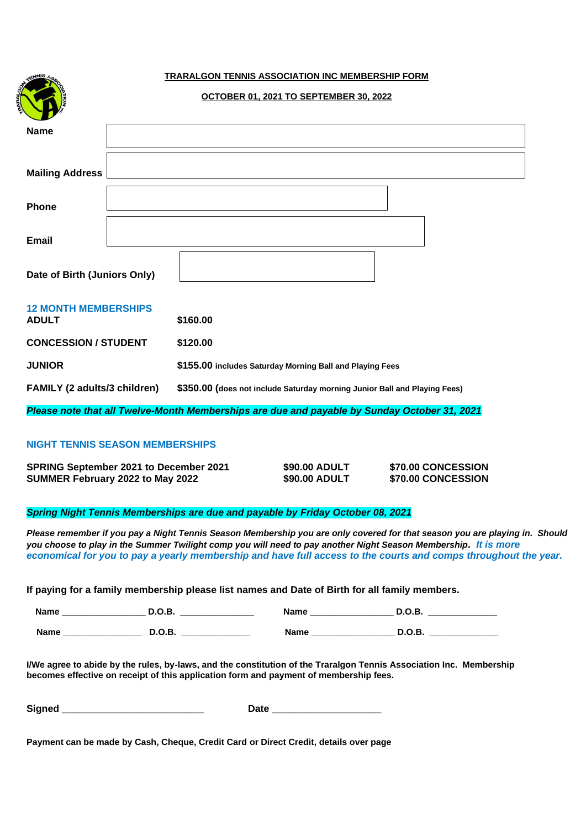## **TRARALGON TENNIS ASSOCIATION INC MEMBERSHIP FORM**

|                                                                                              | <b>OCTOBER 01, 2021 TO SEPTEMBER 30, 2022</b>                             |  |  |  |
|----------------------------------------------------------------------------------------------|---------------------------------------------------------------------------|--|--|--|
| <b>Name</b>                                                                                  |                                                                           |  |  |  |
| <b>Mailing Address</b>                                                                       |                                                                           |  |  |  |
| Phone                                                                                        |                                                                           |  |  |  |
| <b>Email</b>                                                                                 |                                                                           |  |  |  |
| Date of Birth (Juniors Only)                                                                 |                                                                           |  |  |  |
| <b>12 MONTH MEMBERSHIPS</b><br>ADULT                                                         | \$160.00                                                                  |  |  |  |
| <b>CONCESSION / STUDENT</b>                                                                  | \$120.00                                                                  |  |  |  |
| <b>JUNIOR</b>                                                                                | \$155.00 includes Saturday Morning Ball and Playing Fees                  |  |  |  |
| FAMILY (2 adults/3 children)                                                                 | \$350.00 (does not include Saturday morning Junior Ball and Playing Fees) |  |  |  |
| Please note that all Twelve-Month Memberships are due and payable by Sunday October 31, 2021 |                                                                           |  |  |  |

## **NIGHT TENNIS SEASON MEMBERSHIPS**

| <b>SPRING September 2021 to December 2021</b> | \$90.00 ADULT | \$70.00 CONCESSION |
|-----------------------------------------------|---------------|--------------------|
| SUMMER February 2022 to May 2022              | \$90.00 ADULT | \$70.00 CONCESSION |

## *Spring Night Tennis Memberships are due and payable by Friday October 08, 2021*

*Please remember if you pay a Night Tennis Season Membership you are only covered for that season you are playing in. Should you choose to play in the Summer Twilight comp you will need to pay another Night Season Membership. It is more economical for you to pay a yearly membership and have full access to the courts and comps throughout the year.*

**If paying for a family membership please list names and Date of Birth for all family members.**

| <b>Name</b> | --<br>$\sim$ $\sim$ | ame<br>______ | <br>____ |
|-------------|---------------------|---------------|----------|
| <b>Name</b> | ◡.                  | . .           |          |

**I/We agree to abide by the rules, by-laws, and the constitution of the Traralgon Tennis Association Inc. Membership becomes effective on receipt of this application form and payment of membership fees.** 

| <b>Signed</b> | ___ |
|---------------|-----|
|---------------|-----|

**Payment can be made by Cash, Cheque, Credit Card or Direct Credit, details over page**